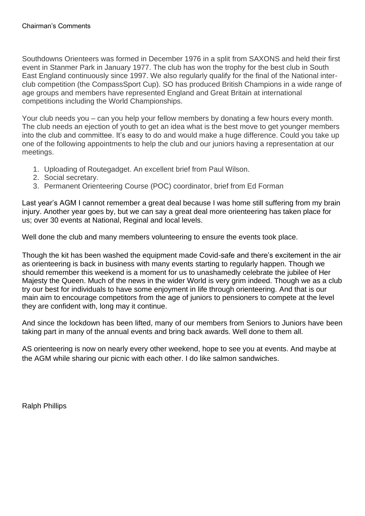Southdowns Orienteers was formed in December 1976 in a split from SAXONS and held their first event in Stanmer Park in January 1977. The club has won the trophy for the best club in South East England continuously since 1997. We also regularly qualify for the final of the National interclub competition (the CompassSport Cup). SO has produced British Champions in a wide range of age groups and members have represented England and Great Britain at international competitions including the World Championships.

Your club needs you – can you help your fellow members by donating a few hours every month. The club needs an ejection of youth to get an idea what is the best move to get younger members into the club and committee. It's easy to do and would make a huge difference. Could you take up one of the following appointments to help the club and our juniors having a representation at our meetings.

- 1. Uploading of Routegadget. An excellent brief from Paul Wilson.
- 2. Social secretary.
- 3. Permanent Orienteering Course (POC) coordinator, brief from Ed Forman

Last year's AGM I cannot remember a great deal because I was home still suffering from my brain injury. Another year goes by, but we can say a great deal more orienteering has taken place for us; over 30 events at National, Reginal and local levels.

Well done the club and many members volunteering to ensure the events took place.

Though the kit has been washed the equipment made Covid-safe and there's excitement in the air as orienteering is back in business with many events starting to regularly happen. Though we should remember this weekend is a moment for us to unashamedly celebrate the jubilee of Her Majesty the Queen. Much of the news in the wider World is very grim indeed. Though we as a club try our best for individuals to have some enjoyment in life through orienteering. And that is our main aim to encourage competitors from the age of juniors to pensioners to compete at the level they are confident with, long may it continue.

And since the lockdown has been lifted, many of our members from Seniors to Juniors have been taking part in many of the annual events and bring back awards. Well done to them all.

AS orienteering is now on nearly every other weekend, hope to see you at events. And maybe at the AGM while sharing our picnic with each other. I do like salmon sandwiches.

Ralph Phillips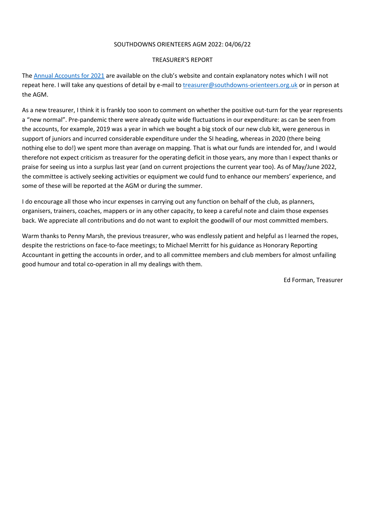#### SOUTHDOWNS ORIENTEERS AGM 2022: 04/06/22

#### TREASURER'S REPORT

The [Annual Accounts for 2021](https://www.southdowns-orienteers.org.uk/images/SO-Annual-Accounts-2021.pdf#asset:7752) are available on the club's website and contain explanatory notes which I will not repeat here. I will take any questions of detail by e-mail to *treasurer@southdowns-orienteers.org.uk* or in person at the AGM.

As a new treasurer, I think it is frankly too soon to comment on whether the positive out-turn for the year represents a "new normal". Pre-pandemic there were already quite wide fluctuations in our expenditure: as can be seen from the accounts, for example, 2019 was a year in which we bought a big stock of our new club kit, were generous in support of juniors and incurred considerable expenditure under the SI heading, whereas in 2020 (there being nothing else to do!) we spent more than average on mapping. That is what our funds are intended for, and I would therefore not expect criticism as treasurer for the operating deficit in those years, any more than I expect thanks or praise for seeing us into a surplus last year (and on current projections the current year too). As of May/June 2022, the committee is actively seeking activities or equipment we could fund to enhance our members' experience, and some of these will be reported at the AGM or during the summer.

I do encourage all those who incur expenses in carrying out any function on behalf of the club, as planners, organisers, trainers, coaches, mappers or in any other capacity, to keep a careful note and claim those expenses back. We appreciate all contributions and do not want to exploit the goodwill of our most committed members.

Warm thanks to Penny Marsh, the previous treasurer, who was endlessly patient and helpful as I learned the ropes, despite the restrictions on face-to-face meetings; to Michael Merritt for his guidance as Honorary Reporting Accountant in getting the accounts in order, and to all committee members and club members for almost unfailing good humour and total co-operation in all my dealings with them.

Ed Forman, Treasurer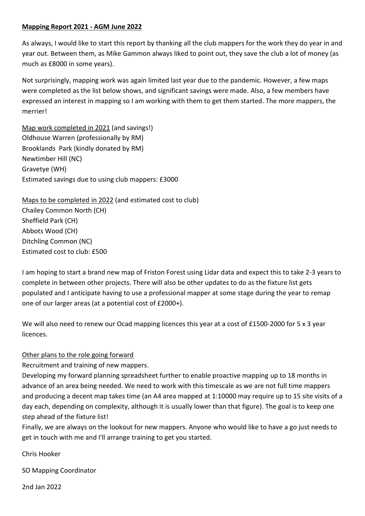#### **Mapping Report 2021 - AGM June 2022**

As always, I would like to start this report by thanking all the club mappers for the work they do year in and year out. Between them, as Mike Gammon always liked to point out, they save the club a lot of money (as much as £8000 in some years).

Not surprisingly, mapping work was again limited last year due to the pandemic. However, a few maps were completed as the list below shows, and significant savings were made. Also, a few members have expressed an interest in mapping so I am working with them to get them started. The more mappers, the merrier!

Map work completed in 2021 (and savings!) Oldhouse Warren (professionally by RM) Brooklands Park (kindly donated by RM) Newtimber Hill (NC) Gravetye (WH) Estimated savings due to using club mappers: £3000

Maps to be completed in 2022 (and estimated cost to club) Chailey Common North (CH) Sheffield Park (CH) Abbots Wood (CH) Ditchling Common (NC) Estimated cost to club: £500

I am hoping to start a brand new map of Friston Forest using Lidar data and expect this to take 2-3 years to complete in between other projects. There will also be other updates to do as the fixture list gets populated and I anticipate having to use a professional mapper at some stage during the year to remap one of our larger areas (at a potential cost of £2000+).

We will also need to renew our Ocad mapping licences this year at a cost of £1500-2000 for 5 x 3 year licences.

#### Other plans to the role going forward

Recruitment and training of new mappers.

Developing my forward planning spreadsheet further to enable proactive mapping up to 18 months in advance of an area being needed. We need to work with this timescale as we are not full time mappers and producing a decent map takes time (an A4 area mapped at 1:10000 may require up to 15 site visits of a day each, depending on complexity, although it is usually lower than that figure). The goal is to keep one step ahead of the fixture list!

Finally, we are always on the lookout for new mappers. Anyone who would like to have a go just needs to get in touch with me and I'll arrange training to get you started.

Chris Hooker

SO Mapping Coordinator

2nd Jan 2022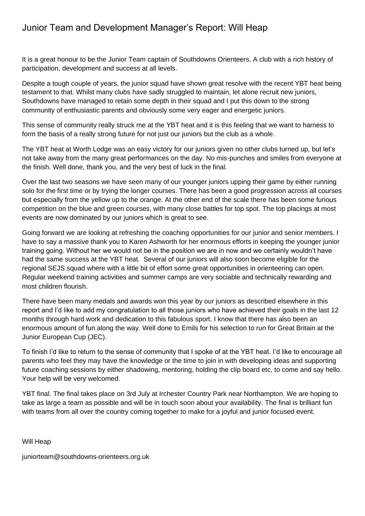### Junior Team and Development Manager's Report: Will Heap

It is a great honour to be the Junior Team captain of Southdowns Orienteers. A club with a rich history of participation, development and success at all levels.

Despite a tough couple of years, the junior squad have shown great resolve with the recent YBT heat being testament to that. Whilst many clubs have sadly struggled to maintain, let alone recruit new juniors, Southdowns have managed to retain some depth in their squad and I put this down to the strong community of enthusiastic parents and obviously some very eager and energetic juniors.

This sense of community really struck me at the YBT heat and it is this feeling that we want to harness to form the basis of a really strong future for not just our juniors but the club as a whole.

The YBT heat at Worth Lodge was an easy victory for our juniors given no other clubs turned up, but let's not take away from the many great performances on the day. No mis-punches and smiles from everyone at the finish. Well done, thank you, and the very best of luck in the final.

Over the last two seasons we have seen many of our younger juniors upping their game by either running solo for the first time or by trying the longer courses. There has been a good progression across all courses but especially from the yellow up to the orange. At the other end of the scale there has been some furious competition on the blue and green courses, with many close battles for top spot. The top placings at most events are now dominated by our juniors which is great to see.

Going forward we are looking at refreshing the coaching opportunities for our junior and senior members. I have to say a massive thank you to Karen Ashworth for her enormous efforts in keeping the younger junior training going. Without her we would not be in the position we are in now and we certainly wouldn't have had the same success at the YBT heat. Several of our juniors will also soon become eligible for the regional SEJS squad where with a little bit of effort some great opportunities in orienteering can open. Regular weekend training activities and summer camps are very sociable and technically rewarding and most children flourish.

There have been many medals and awards won this year by our juniors as described elsewhere in this report and I'd like to add my congratulation to all those juniors who have achieved their goals in the last 12 months through hard work and dedication to this fabulous sport. I know that there has also been an enormous amount of fun along the way. Well done to Emils for his selection to run for Great Britain at the Junior European Cup (JEC).

To finish I'd like to return to the sense of community that I spoke of at the YBT heat. I'd like to encourage all parents who feel they may have the knowledge or the time to join in with developing ideas and supporting future coaching sessions by either shadowing, mentoring, holding the clip board etc, to come and say hello. Your help will be very welcomed.

YBT final. The final takes place on 3rd July at Irchester Country Park near Northampton. We are hoping to take as large a team as possible and will be in touch soon about your availability. The final is brilliant fun with teams from all over the country coming together to make for a joyful and junior focused event.

Will Heap

juniorteam@southdowns-orienteers.org.uk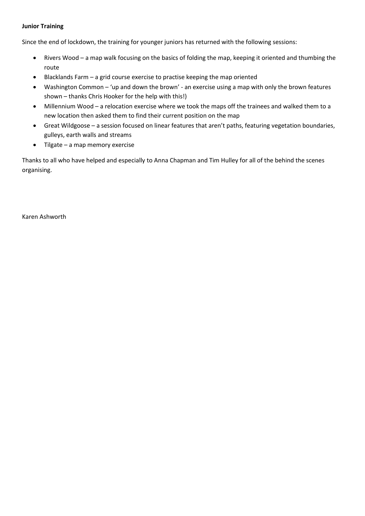#### **Junior Training**

Since the end of lockdown, the training for younger juniors has returned with the following sessions:

- Rivers Wood a map walk focusing on the basics of folding the map, keeping it oriented and thumbing the route
- Blacklands Farm a grid course exercise to practise keeping the map oriented
- Washington Common 'up and down the brown' an exercise using a map with only the brown features shown – thanks Chris Hooker for the help with this!)
- Millennium Wood a relocation exercise where we took the maps off the trainees and walked them to a new location then asked them to find their current position on the map
- Great Wildgoose a session focused on linear features that aren't paths, featuring vegetation boundaries, gulleys, earth walls and streams
- Tilgate a map memory exercise

Thanks to all who have helped and especially to Anna Chapman and Tim Hulley for all of the behind the scenes organising.

Karen Ashworth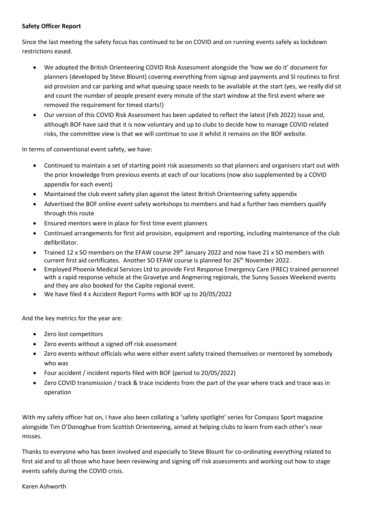#### **Safety Officer Report**

Since the last meeting the safety focus has continued to be on COVID and on running events safely as lockdown restrictions eased.

- We adopted the British Orienteering COVID Risk Assessment alongside the 'how we do it' document for planners (developed by Steve Blount) covering everything from signup and payments and SI routines to first aid provision and car parking and what queuing space needs to be available at the start (yes, we really did sit and count the number of people present every minute of the start window at the first event where we removed the requirement for timed starts!)
- Our version of this COVID Risk Assessment has been updated to reflect the latest (Feb 2022) issue and, although BOF have said that it is now voluntary and up to clubs to decide how to manage COVID related risks, the committee view is that we will continue to use it whilst it remains on the BOF website.

In terms of conventional event safety, we have:

- Continued to maintain a set of starting point risk assessments so that planners and organisers start out with the prior knowledge from previous events at each of our locations (now also supplemented by a COVID appendix for each event)
- Maintained the club event safety plan against the latest British Orienteering safety appendix
- Advertised the BOF online event safety workshops to members and had a further two members qualify through this route
- Ensured mentors were in place for first time event planners
- Continued arrangements for first aid provision, equipment and reporting, including maintenance of the club defibrillator.
- Trained 12 x SO members on the EFAW course 29<sup>th</sup> January 2022 and now have 21 x SO members with current first aid certificates. Another SO EFAW course is planned for 26<sup>th</sup> November 2022.
- Employed Phoenix Medical Services Ltd to provide First Response Emergency Care (FREC) trained personnel with a rapid response vehicle at the Gravetye and Angmering regionals, the Sunny Sussex Weekend events and they are also booked for the Capite regional event.
- We have filed 4 x Accident Report Forms with BOF up to 20/05/2022

And the key metrics for the year are:

- Zero lost competitors
- Zero events without a signed off risk assessment
- Zero events without officials who were either event safety trained themselves or mentored by somebody who was
- Four accident / incident reports filed with BOF (period to 20/05/2022)
- Zero COVID transmission / track & trace incidents from the part of the year where track and trace was in operation

With my safety officer hat on, I have also been collating a 'safety spotlight' series for Compass Sport magazine alongside Tim O'Donoghue from Scottish Orienteering, aimed at helping clubs to learn from each other's near misses.

Thanks to everyone who has been involved and especially to Steve Blount for co-ordinating everything related to first aid and to all those who have been reviewing and signing off risk assessments and working out how to stage events safely during the COVID crisis.

#### Karen Ashworth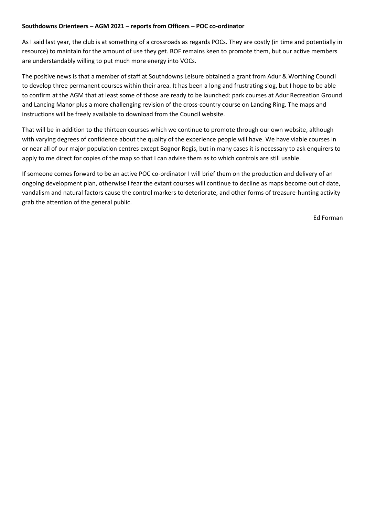#### **Southdowns Orienteers – AGM 2021 – reports from Officers – POC co-ordinator**

As I said last year, the club is at something of a crossroads as regards POCs. They are costly (in time and potentially in resource) to maintain for the amount of use they get. BOF remains keen to promote them, but our active members are understandably willing to put much more energy into VOCs.

The positive news is that a member of staff at Southdowns Leisure obtained a grant from Adur & Worthing Council to develop three permanent courses within their area. It has been a long and frustrating slog, but I hope to be able to confirm at the AGM that at least some of those are ready to be launched: park courses at Adur Recreation Ground and Lancing Manor plus a more challenging revision of the cross-country course on Lancing Ring. The maps and instructions will be freely available to download from the Council website.

That will be in addition to the thirteen courses which we continue to promote through our own website, although with varying degrees of confidence about the quality of the experience people will have. We have viable courses in or near all of our major population centres except Bognor Regis, but in many cases it is necessary to ask enquirers to apply to me direct for copies of the map so that I can advise them as to which controls are still usable.

If someone comes forward to be an active POC co-ordinator I will brief them on the production and delivery of an ongoing development plan, otherwise I fear the extant courses will continue to decline as maps become out of date, vandalism and natural factors cause the control markers to deteriorate, and other forms of treasure-hunting activity grab the attention of the general public.

Ed Forman